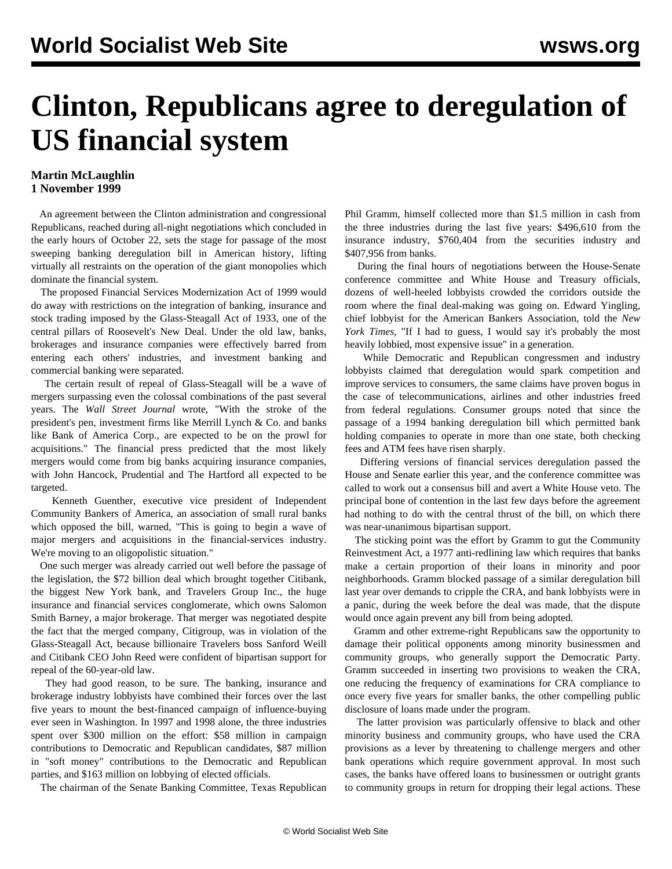## **Clinton, Republicans agree to deregulation of US financial system**

## **Martin McLaughlin 1 November 1999**

 An agreement between the Clinton administration and congressional Republicans, reached during all-night negotiations which concluded in the early hours of October 22, sets the stage for passage of the most sweeping banking deregulation bill in American history, lifting virtually all restraints on the operation of the giant monopolies which dominate the financial system.

 The proposed Financial Services Modernization Act of 1999 would do away with restrictions on the integration of banking, insurance and stock trading imposed by the Glass-Steagall Act of 1933, one of the central pillars of Roosevelt's New Deal. Under the old law, banks, brokerages and insurance companies were effectively barred from entering each others' industries, and investment banking and commercial banking were separated.

 The certain result of repeal of Glass-Steagall will be a wave of mergers surpassing even the colossal combinations of the past several years. The *Wall Street Journal* wrote, "With the stroke of the president's pen, investment firms like Merrill Lynch & Co. and banks like Bank of America Corp., are expected to be on the prowl for acquisitions." The financial press predicted that the most likely mergers would come from big banks acquiring insurance companies, with John Hancock, Prudential and The Hartford all expected to be targeted.

 Kenneth Guenther, executive vice president of Independent Community Bankers of America, an association of small rural banks which opposed the bill, warned, "This is going to begin a wave of major mergers and acquisitions in the financial-services industry. We're moving to an oligopolistic situation."

 One such merger was already carried out well before the passage of the legislation, the \$72 billion deal which brought together Citibank, the biggest New York bank, and Travelers Group Inc., the huge insurance and financial services conglomerate, which owns Salomon Smith Barney, a major brokerage. That merger was negotiated despite the fact that the merged company, Citigroup, was in violation of the Glass-Steagall Act, because billionaire Travelers boss Sanford Weill and Citibank CEO John Reed were confident of bipartisan support for repeal of the 60-year-old law.

 They had good reason, to be sure. The banking, insurance and brokerage industry lobbyists have combined their forces over the last five years to mount the best-financed campaign of influence-buying ever seen in Washington. In 1997 and 1998 alone, the three industries spent over \$300 million on the effort: \$58 million in campaign contributions to Democratic and Republican candidates, \$87 million in "soft money" contributions to the Democratic and Republican parties, and \$163 million on lobbying of elected officials.

The chairman of the Senate Banking Committee, Texas Republican

Phil Gramm, himself collected more than \$1.5 million in cash from the three industries during the last five years: \$496,610 from the insurance industry, \$760,404 from the securities industry and \$407,956 from banks.

 During the final hours of negotiations between the House-Senate conference committee and White House and Treasury officials, dozens of well-heeled lobbyists crowded the corridors outside the room where the final deal-making was going on. Edward Yingling, chief lobbyist for the American Bankers Association, told the *New York Times*, "If I had to guess, I would say it's probably the most heavily lobbied, most expensive issue" in a generation.

 While Democratic and Republican congressmen and industry lobbyists claimed that deregulation would spark competition and improve services to consumers, the same claims have proven bogus in the case of telecommunications, airlines and other industries freed from federal regulations. Consumer groups noted that since the passage of a 1994 banking deregulation bill which permitted bank holding companies to operate in more than one state, both checking fees and ATM fees have risen sharply.

 Differing versions of financial services deregulation passed the House and Senate earlier this year, and the conference committee was called to work out a consensus bill and avert a White House veto. The principal bone of contention in the last few days before the agreement had nothing to do with the central thrust of the bill, on which there was near-unanimous bipartisan support.

 The sticking point was the effort by Gramm to gut the Community Reinvestment Act, a 1977 anti-redlining law which requires that banks make a certain proportion of their loans in minority and poor neighborhoods. Gramm blocked passage of a similar deregulation bill last year over demands to cripple the CRA, and bank lobbyists were in a panic, during the week before the deal was made, that the dispute would once again prevent any bill from being adopted.

 Gramm and other extreme-right Republicans saw the opportunity to damage their political opponents among minority businessmen and community groups, who generally support the Democratic Party. Gramm succeeded in inserting two provisions to weaken the CRA, one reducing the frequency of examinations for CRA compliance to once every five years for smaller banks, the other compelling public disclosure of loans made under the program.

 The latter provision was particularly offensive to black and other minority business and community groups, who have used the CRA provisions as a lever by threatening to challenge mergers and other bank operations which require government approval. In most such cases, the banks have offered loans to businessmen or outright grants to community groups in return for dropping their legal actions. These